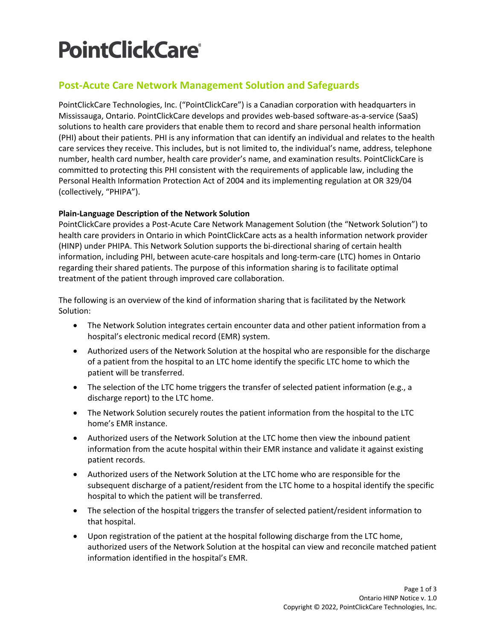# **PointClickCare®**

# **Post-Acute Care Network Management Solution and Safeguards**

PointClickCare Technologies, Inc. ("PointClickCare") is a Canadian corporation with headquarters in Mississauga, Ontario. PointClickCare develops and provides web-based software-as-a-service (SaaS) solutions to health care providers that enable them to record and share personal health information (PHI) about their patients. PHI is any information that can identify an individual and relates to the health care services they receive. This includes, but is not limited to, the individual's name, address, telephone number, health card number, health care provider's name, and examination results. PointClickCare is committed to protecting this PHI consistent with the requirements of applicable law, including the Personal Health Information Protection Act of 2004 and its implementing regulation at OR 329/04 (collectively, "PHIPA").

# **Plain-Language Description of the Network Solution**

PointClickCare provides a Post-Acute Care Network Management Solution (the "Network Solution") to health care providers in Ontario in which PointClickCare acts as a health information network provider (HINP) under PHIPA. This Network Solution supports the bi-directional sharing of certain health information, including PHI, between acute-care hospitals and long-term-care (LTC) homes in Ontario regarding their shared patients. The purpose of this information sharing is to facilitate optimal treatment of the patient through improved care collaboration.

The following is an overview of the kind of information sharing that is facilitated by the Network Solution:

- The Network Solution integrates certain encounter data and other patient information from a hospital's electronic medical record (EMR) system.
- Authorized users of the Network Solution at the hospital who are responsible for the discharge of a patient from the hospital to an LTC home identify the specific LTC home to which the patient will be transferred.
- The selection of the LTC home triggers the transfer of selected patient information (e.g., a discharge report) to the LTC home.
- The Network Solution securely routes the patient information from the hospital to the LTC home's EMR instance.
- Authorized users of the Network Solution at the LTC home then view the inbound patient information from the acute hospital within their EMR instance and validate it against existing patient records.
- Authorized users of the Network Solution at the LTC home who are responsible for the subsequent discharge of a patient/resident from the LTC home to a hospital identify the specific hospital to which the patient will be transferred.
- The selection of the hospital triggers the transfer of selected patient/resident information to that hospital.
- Upon registration of the patient at the hospital following discharge from the LTC home, authorized users of the Network Solution at the hospital can view and reconcile matched patient information identified in the hospital's EMR.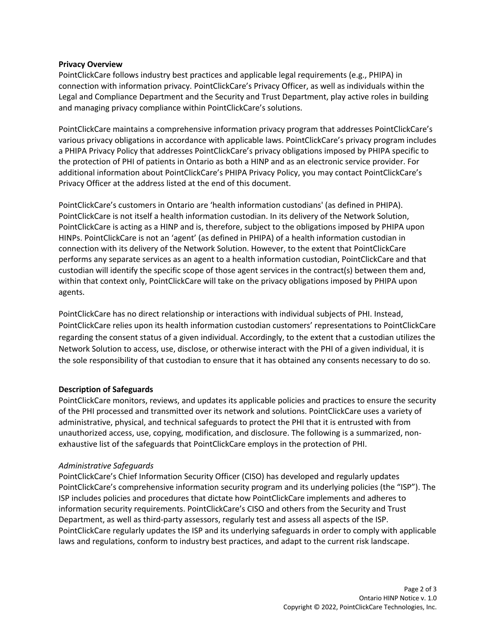## **Privacy Overview**

PointClickCare follows industry best practices and applicable legal requirements (e.g., PHIPA) in connection with information privacy. PointClickCare's Privacy Officer, as well as individuals within the Legal and Compliance Department and the Security and Trust Department, play active roles in building and managing privacy compliance within PointClickCare's solutions.

PointClickCare maintains a comprehensive information privacy program that addresses PointClickCare's various privacy obligations in accordance with applicable laws. PointClickCare's privacy program includes a PHIPA Privacy Policy that addresses PointClickCare's privacy obligations imposed by PHIPA specific to the protection of PHI of patients in Ontario as both a HINP and as an electronic service provider. For additional information about PointClickCare's PHIPA Privacy Policy, you may contact PointClickCare's Privacy Officer at the address listed at the end of this document.

PointClickCare's customers in Ontario are 'health information custodians' (as defined in PHIPA). PointClickCare is not itself a health information custodian. In its delivery of the Network Solution, PointClickCare is acting as a HINP and is, therefore, subject to the obligations imposed by PHIPA upon HINPs. PointClickCare is not an 'agent' (as defined in PHIPA) of a health information custodian in connection with its delivery of the Network Solution. However, to the extent that PointClickCare performs any separate services as an agent to a health information custodian, PointClickCare and that custodian will identify the specific scope of those agent services in the contract(s) between them and, within that context only, PointClickCare will take on the privacy obligations imposed by PHIPA upon agents.

PointClickCare has no direct relationship or interactions with individual subjects of PHI. Instead, PointClickCare relies upon its health information custodian customers' representations to PointClickCare regarding the consent status of a given individual. Accordingly, to the extent that a custodian utilizes the Network Solution to access, use, disclose, or otherwise interact with the PHI of a given individual, it is the sole responsibility of that custodian to ensure that it has obtained any consents necessary to do so.

## **Description of Safeguards**

PointClickCare monitors, reviews, and updates its applicable policies and practices to ensure the security of the PHI processed and transmitted over its network and solutions. PointClickCare uses a variety of administrative, physical, and technical safeguards to protect the PHI that it is entrusted with from unauthorized access, use, copying, modification, and disclosure. The following is a summarized, nonexhaustive list of the safeguards that PointClickCare employs in the protection of PHI.

## *Administrative Safeguards*

PointClickCare's Chief Information Security Officer (CISO) has developed and regularly updates PointClickCare's comprehensive information security program and its underlying policies (the "ISP"). The ISP includes policies and procedures that dictate how PointClickCare implements and adheres to information security requirements. PointClickCare's CISO and others from the Security and Trust Department, as well as third-party assessors, regularly test and assess all aspects of the ISP. PointClickCare regularly updates the ISP and its underlying safeguards in order to comply with applicable laws and regulations, conform to industry best practices, and adapt to the current risk landscape.